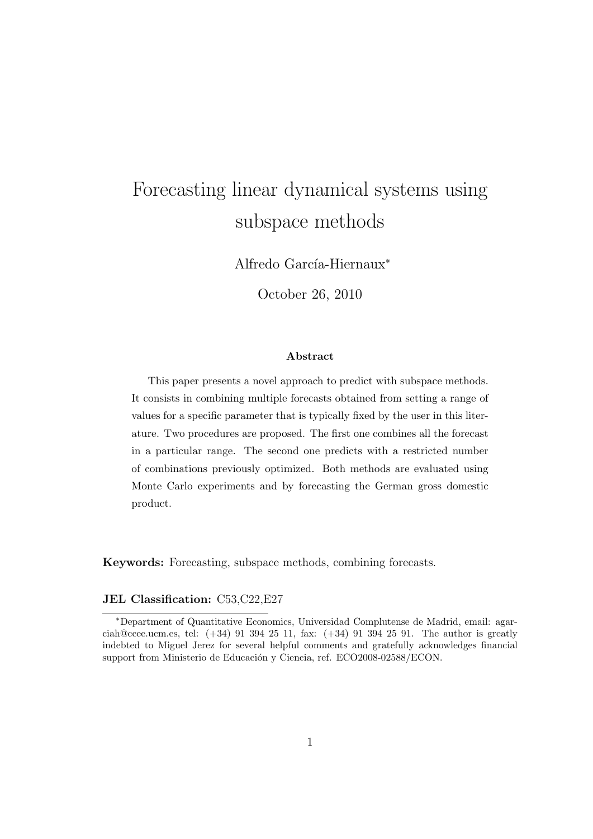# Forecasting linear dynamical systems using subspace methods

Alfredo García-Hiernaux<sup>\*</sup>

October 26, 2010

#### Abstract

This paper presents a novel approach to predict with subspace methods. It consists in combining multiple forecasts obtained from setting a range of values for a specific parameter that is typically fixed by the user in this literature. Two procedures are proposed. The first one combines all the forecast in a particular range. The second one predicts with a restricted number of combinations previously optimized. Both methods are evaluated using Monte Carlo experiments and by forecasting the German gross domestic product.

Keywords: Forecasting, subspace methods, combining forecasts.

#### JEL Classification: C53,C22,E27

<sup>∗</sup>Department of Quantitative Economics, Universidad Complutense de Madrid, email: agarciah@ccee.ucm.es, tel: (+34) 91 394 25 11, fax: (+34) 91 394 25 91. The author is greatly indebted to Miguel Jerez for several helpful comments and gratefully acknowledges financial support from Ministerio de Educación y Ciencia, ref. ECO2008-02588/ECON.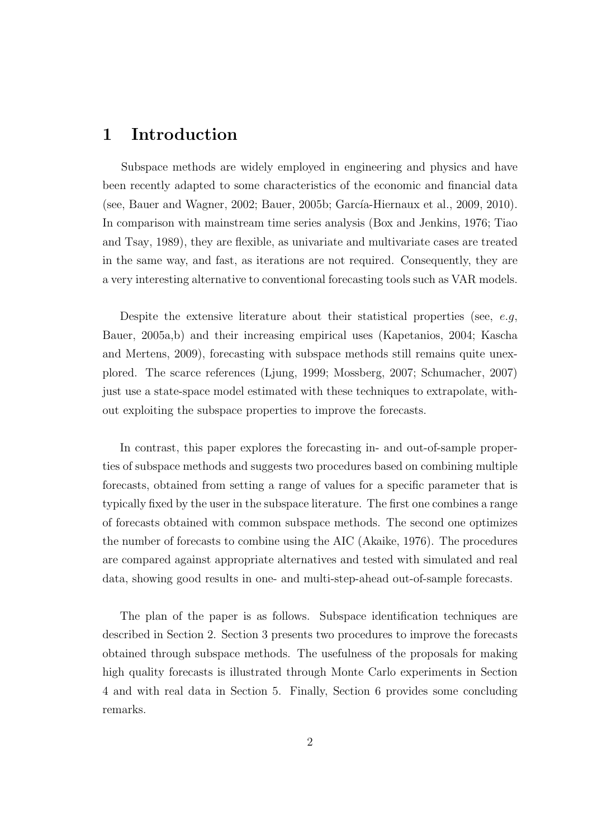### 1 Introduction

Subspace methods are widely employed in engineering and physics and have been recently adapted to some characteristics of the economic and financial data (see, Bauer and Wagner, 2002; Bauer, 2005b; García-Hiernaux et al., 2009, 2010). In comparison with mainstream time series analysis (Box and Jenkins, 1976; Tiao and Tsay, 1989), they are flexible, as univariate and multivariate cases are treated in the same way, and fast, as iterations are not required. Consequently, they are a very interesting alternative to conventional forecasting tools such as VAR models.

Despite the extensive literature about their statistical properties (see,  $e.g.$ Bauer, 2005a,b) and their increasing empirical uses (Kapetanios, 2004; Kascha and Mertens, 2009), forecasting with subspace methods still remains quite unexplored. The scarce references (Ljung, 1999; Mossberg, 2007; Schumacher, 2007) just use a state-space model estimated with these techniques to extrapolate, without exploiting the subspace properties to improve the forecasts.

In contrast, this paper explores the forecasting in- and out-of-sample properties of subspace methods and suggests two procedures based on combining multiple forecasts, obtained from setting a range of values for a specific parameter that is typically fixed by the user in the subspace literature. The first one combines a range of forecasts obtained with common subspace methods. The second one optimizes the number of forecasts to combine using the AIC (Akaike, 1976). The procedures are compared against appropriate alternatives and tested with simulated and real data, showing good results in one- and multi-step-ahead out-of-sample forecasts.

The plan of the paper is as follows. Subspace identification techniques are described in Section 2. Section 3 presents two procedures to improve the forecasts obtained through subspace methods. The usefulness of the proposals for making high quality forecasts is illustrated through Monte Carlo experiments in Section 4 and with real data in Section 5. Finally, Section 6 provides some concluding remarks.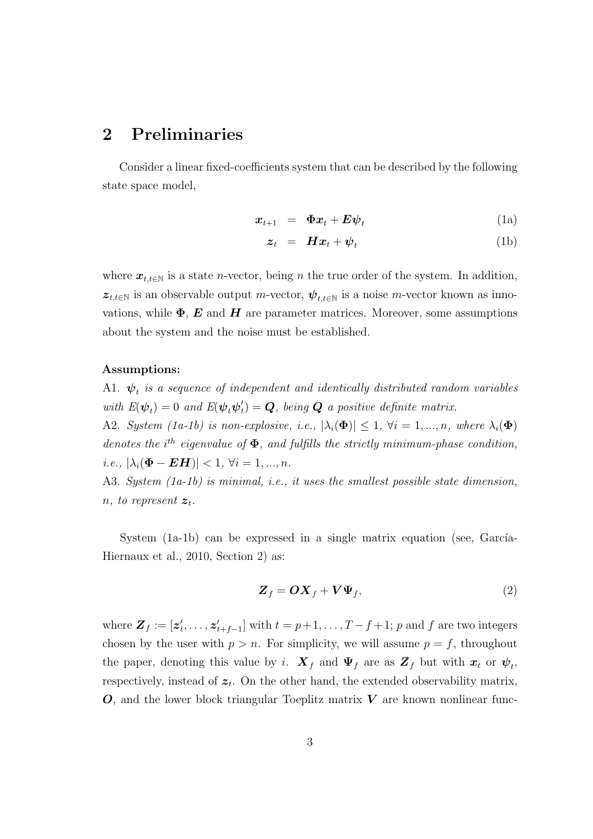### 2 Preliminaries

Consider a linear fixed-coefficients system that can be described by the following state space model,

$$
\boldsymbol{x}_{t+1} = \boldsymbol{\Phi} \boldsymbol{x}_t + \boldsymbol{E} \boldsymbol{\psi}_t \tag{1a}
$$

$$
z_t = H x_t + \psi_t \tag{1b}
$$

where  $x_{t,t\in\mathbb{N}}$  is a state *n*-vector, being *n* the true order of the system. In addition,  $z_{t,t\in\mathbb{N}}$  is an observable output m-vector,  $\psi_{t,t\in\mathbb{N}}$  is a noise m-vector known as innovations, while  $\Phi$ ,  $\bm{E}$  and  $\bm{H}$  are parameter matrices. Moreover, some assumptions about the system and the noise must be established.

#### Assumptions:

A1.  $\boldsymbol{\psi}^{}_{t}$  is a sequence of independent and identically distributed random variables with  $E(\psi_t) = 0$  and  $E(\psi_t \psi_t)$  $t_{t}^{\prime} ) = \boldsymbol{Q}, \text{ being } \boldsymbol{Q} \text{ a positive definite matrix}.$ 

A2. System (1a-1b) is non-explosive, i.e.,  $|\lambda_i(\Phi)| \leq 1$ ,  $\forall i = 1, ..., n$ , where  $\lambda_i(\Phi)$ denotes the  $i^{th}$  eigenvalue of  $\Phi$ , and fulfills the strictly minimum-phase condition, i.e.,  $|\lambda_i(\mathbf{\Phi} - \mathbf{E}\mathbf{H})| < 1$ ,  $\forall i = 1, ..., n$ .

A3. System (1a-1b) is minimal, i.e., it uses the smallest possible state dimension, n, to represent  $z_t$ .

System  $(1a-1b)$  can be expressed in a single matrix equation (see, García-Hiernaux et al., 2010, Section 2) as:

$$
\mathbf{Z}_f = \mathbf{O}\mathbf{X}_f + \mathbf{V}\Psi_f,\tag{2}
$$

where  $\mathbf{Z}_f := [\mathbf{z}'_t, \dots, \mathbf{z}'_{t+f-1}]$  with  $t = p+1, \dots, T-f+1$ ; p and f are two integers chosen by the user with  $p > n$ . For simplicity, we will assume  $p = f$ , throughout the paper, denoting this value by i.  $\boldsymbol{X}_f$  and  $\boldsymbol{\Psi}_f$  are as  $\boldsymbol{Z}_f$  but with  $\boldsymbol{x}_t$  or  $\boldsymbol{\psi}_t$ , respectively, instead of  $z_t$ . On the other hand, the extended observability matrix,  $O$ , and the lower block triangular Toeplitz matrix  $V$  are known nonlinear func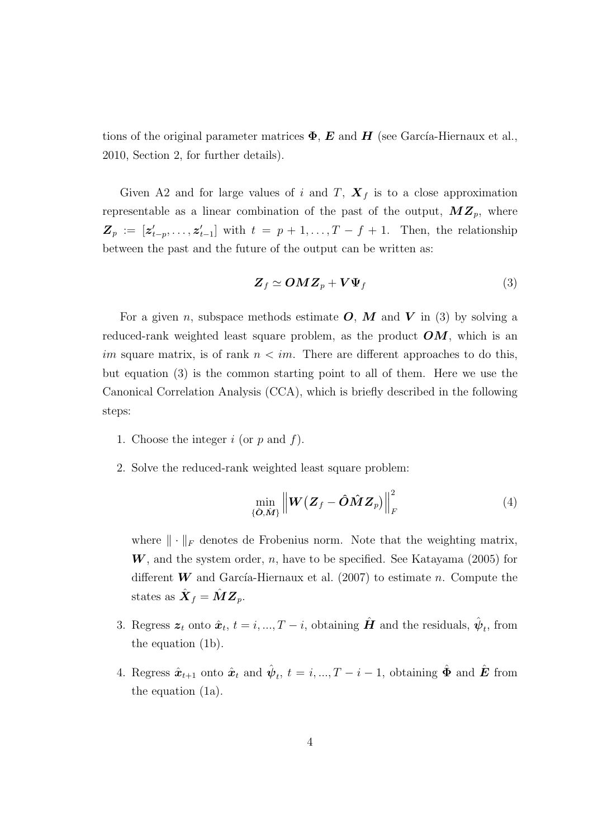tions of the original parameter matrices  $\Phi$ , E and H (see García-Hiernaux et al., 2010, Section 2, for further details).

Given A2 and for large values of i and T,  $\mathbf{X}_f$  is to a close approximation representable as a linear combination of the past of the output,  $MZ_p$ , where  $\mathbf{Z}_p := [\mathbf{z}'_{t-p}, \dots, \mathbf{z}'_{t-1}]$  with  $t = p+1, \dots, T-f+1$ . Then, the relationship between the past and the future of the output can be written as:

$$
\mathbf{Z}_f \simeq \mathbf{O} \mathbf{M} \mathbf{Z}_p + \mathbf{V} \Psi_f \tag{3}
$$

For a given n, subspace methods estimate  $O, M$  and  $V$  in (3) by solving a reduced-rank weighted least square problem, as the product  $OM$ , which is an im square matrix, is of rank  $n \leq im$ . There are different approaches to do this, but equation (3) is the common starting point to all of them. Here we use the Canonical Correlation Analysis (CCA), which is briefly described in the following steps:

- 1. Choose the integer  $i$  (or  $p$  and  $f$ ).
- 2. Solve the reduced-rank weighted least square problem:

$$
\min_{\{\hat{\mathbf{O}}, \hat{\mathbf{M}}\}} \left\| \mathbf{W} \left( \mathbf{Z}_f - \hat{\mathbf{O}} \hat{\mathbf{M}} \mathbf{Z}_p \right) \right\|_F^2 \tag{4}
$$

where  $\|\cdot\|_F$  denotes de Frobenius norm. Note that the weighting matrix,  $W$ , and the system order, n, have to be specified. See Katayama (2005) for different W and García-Hiernaux et al. (2007) to estimate n. Compute the states as  $\hat{\boldsymbol{X}}_f = \hat{\boldsymbol{M}} \boldsymbol{Z}_p.$ 

- 3. Regress  $\boldsymbol{z}_t$  onto  $\hat{\boldsymbol{x}}_t$ ,  $t = i, ..., T i$ , obtaining  $\hat{\boldsymbol{H}}$  and the residuals,  $\hat{\boldsymbol{\psi}}_t$ , from the equation (1b).
- 4. Regress  $\hat{x}_{t+1}$  onto  $\hat{x}_t$  and  $\hat{\psi}_t$ ,  $t = i, ..., T i 1$ , obtaining  $\hat{\Phi}$  and  $\hat{E}$  from the equation (1a).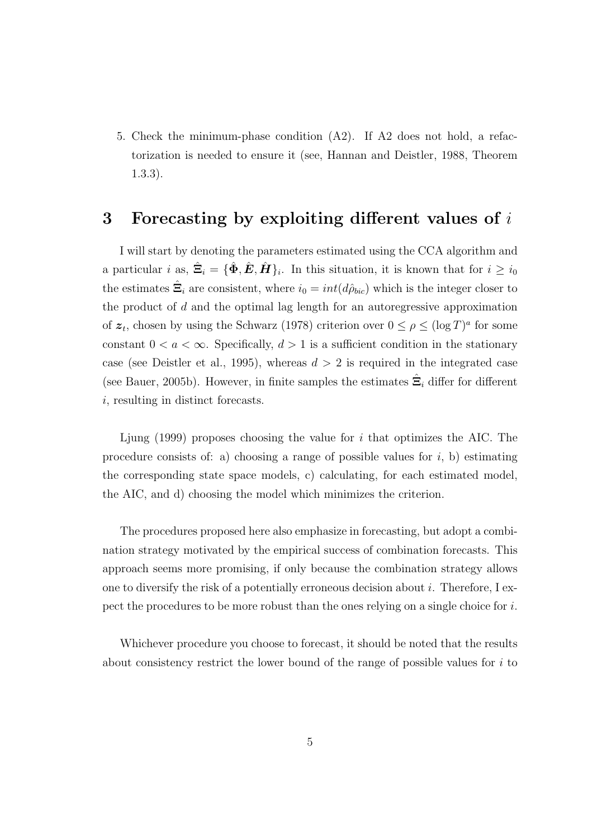5. Check the minimum-phase condition (A2). If A2 does not hold, a refactorization is needed to ensure it (see, Hannan and Deistler, 1988, Theorem 1.3.3).

#### 3 Forecasting by exploiting different values of  $i$

I will start by denoting the parameters estimated using the CCA algorithm and a particular i as,  $\hat{\Xi}_i = {\{\hat{\Phi}, \hat{E}, \hat{H}\}_i}$ . In this situation, it is known that for  $i \geq i_0$ the estimates  $\hat{\Xi}_i$  are consistent, where  $i_0 = int(d\hat{\rho}_{bic})$  which is the integer closer to the product of  $d$  and the optimal lag length for an autoregressive approximation of  $z_t$ , chosen by using the Schwarz (1978) criterion over  $0 \leq \rho \leq (\log T)^a$  for some constant  $0 < a < \infty$ . Specifically,  $d > 1$  is a sufficient condition in the stationary case (see Deistler et al., 1995), whereas  $d > 2$  is required in the integrated case (see Bauer, 2005b). However, in finite samples the estimates  $\hat{\Xi}_i$  differ for different i, resulting in distinct forecasts.

Ljung  $(1999)$  proposes choosing the value for i that optimizes the AIC. The procedure consists of: a) choosing a range of possible values for  $i$ , b) estimating the corresponding state space models, c) calculating, for each estimated model, the AIC, and d) choosing the model which minimizes the criterion.

The procedures proposed here also emphasize in forecasting, but adopt a combination strategy motivated by the empirical success of combination forecasts. This approach seems more promising, if only because the combination strategy allows one to diversify the risk of a potentially erroneous decision about i. Therefore, I expect the procedures to be more robust than the ones relying on a single choice for  $i$ .

Whichever procedure you choose to forecast, it should be noted that the results about consistency restrict the lower bound of the range of possible values for  $i$  to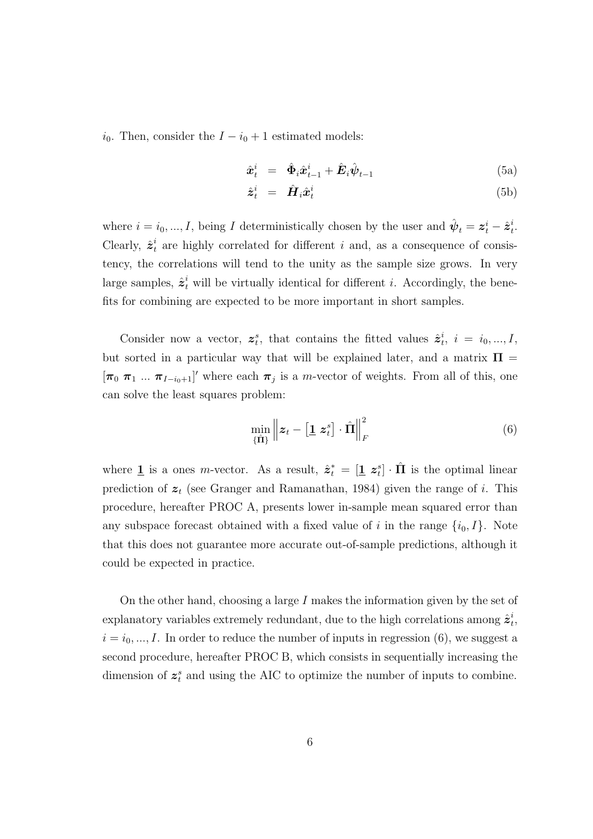$i_0$ . Then, consider the  $I - i_0 + 1$  estimated models:

$$
\hat{\boldsymbol{x}}_t^i = \hat{\boldsymbol{\Phi}}_i \hat{\boldsymbol{x}}_{t-1}^i + \hat{\boldsymbol{E}}_i \hat{\boldsymbol{\psi}}_{t-1} \tag{5a}
$$

$$
\hat{\boldsymbol{z}}_t^i = \hat{\boldsymbol{H}}_i \hat{\boldsymbol{x}}_t^i \tag{5b}
$$

where  $i = i_0, ..., I$ , being I deterministically chosen by the user and  $\hat{\psi}_t = \mathbf{z}_t^i - \hat{\mathbf{z}}_t^i$  $\frac{i}{t}$ . Clearly,  $\hat{\mathbf{z}}_t^i$  $t<sub>t</sub>$  are highly correlated for different i and, as a consequence of consistency, the correlations will tend to the unity as the sample size grows. In very large samples,  $\hat{\mathbf{z}}_t^i$  will be virtually identical for different *i*. Accordingly, the benefits for combining are expected to be more important in short samples.

Consider now a vector,  $z_t^s$ , that contains the fitted values  $\hat{z}_t^i$  $i, i = i_0, ..., I,$ but sorted in a particular way that will be explained later, and a matrix  $\Pi =$  $[\pi_0 \ \pi_1 \ ... \ \pi_{I-i_0+1}]'$  where each  $\pi_j$  is a m-vector of weights. From all of this, one can solve the least squares problem:

$$
\min_{\{\hat{\mathbf{\Pi}}\}} \left\| \boldsymbol{z}_t - \left[\mathbf{1} \; \boldsymbol{z}_t^s\right] \cdot \hat{\mathbf{\Pi}} \right\|_F^2 \tag{6}
$$

where  $\underline{1}$  is a ones *m*-vector. As a result,  $\hat{z}_t^* = [\underline{1} \; z_t^s] \cdot \hat{\Pi}$  is the optimal linear prediction of  $z_t$  (see Granger and Ramanathan, 1984) given the range of i. This procedure, hereafter PROC A, presents lower in-sample mean squared error than any subspace forecast obtained with a fixed value of i in the range  $\{i_0, I\}$ . Note that this does not guarantee more accurate out-of-sample predictions, although it could be expected in practice.

On the other hand, choosing a large I makes the information given by the set of explanatory variables extremely redundant, due to the high correlations among  $\hat{z}_t^i$  $\frac{i}{t}$  $i = i_0, ..., I$ . In order to reduce the number of inputs in regression (6), we suggest a second procedure, hereafter PROC B, which consists in sequentially increasing the dimension of  $z_t^s$  and using the AIC to optimize the number of inputs to combine.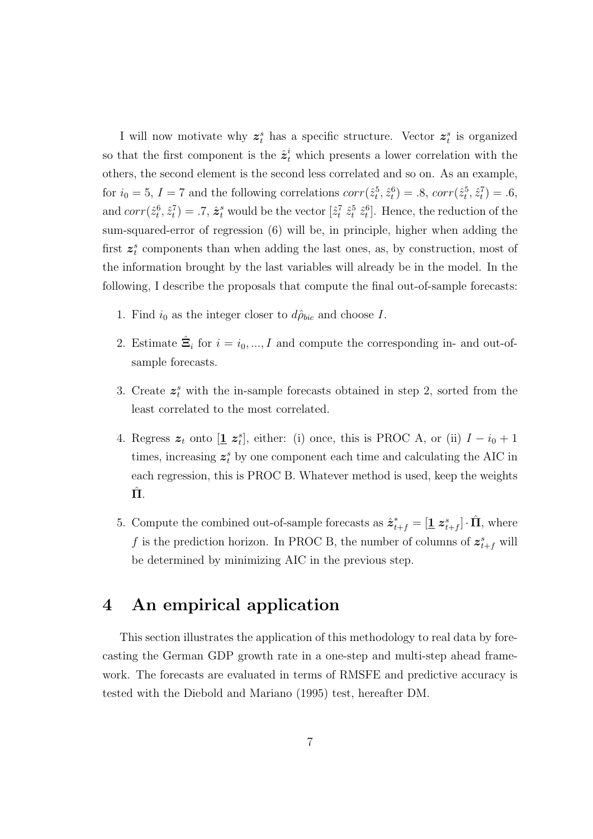I will now motivate why  $z_t^s$  has a specific structure. Vector  $z_t^s$  is organized so that the first component is the  $\hat{\mathbf{z}}_t^i$  which presents a lower correlation with the others, the second element is the second less correlated and so on. As an example, for  $i_0 = 5$ ,  $I = 7$  and the following correlations  $corr(\hat{z}_t^5, \hat{z}_t^6) = .8$ ,  $corr(\hat{z}_t^5, \hat{z}_t^7) = .6$ , and  $corr(\hat{z}_t^6, \hat{z}_t^7) = .7$ ,  $\hat{z}_t^s$  would be the vector  $[\hat{z}_t^7 \hat{z}_t^5 \hat{z}_t^6]$ . Hence, the reduction of the sum-squared-error of regression (6) will be, in principle, higher when adding the first  $z_i^s$  components than when adding the last ones, as, by construction, most of the information brought by the last variables will already be in the model. In the following, I describe the proposals that compute the final out-of-sample forecasts:

- 1. Find  $i_0$  as the integer closer to  $d\hat{\rho}_{bic}$  and choose I.
- 2. Estimate  $\hat{\Xi}_i$  for  $i = i_0, ..., I$  and compute the corresponding in- and out-ofsample forecasts.
- 3. Create  $z_i^s$  with the in-sample forecasts obtained in step 2, sorted from the least correlated to the most correlated.
- 4. Regress  $\boldsymbol{z}_t$  onto  $[\underline{\mathbf{1}} \ \boldsymbol{z}_t^s]$ , either: (i) once, this is PROC A, or (ii)  $I i_0 + 1$ times, increasing  $z_i^s$  by one component each time and calculating the AIC in each regression, this is PROC B. Whatever method is used, keep the weights  $\Pi$ .
- 5. Compute the combined out-of-sample forecasts as  $\hat{z}_{t+f}^* = [\underline{1} \; z_{t+f}^s] \cdot \hat{\Pi}$ , where f is the prediction horizon. In PROC B, the number of columns of  $z_{t+f}^s$  will be determined by minimizing AIC in the previous step.

### 4 An empirical application

This section illustrates the application of this methodology to real data by forecasting the German GDP growth rate in a one-step and multi-step ahead framework. The forecasts are evaluated in terms of RMSFE and predictive accuracy is tested with the Diebold and Mariano (1995) test, hereafter DM.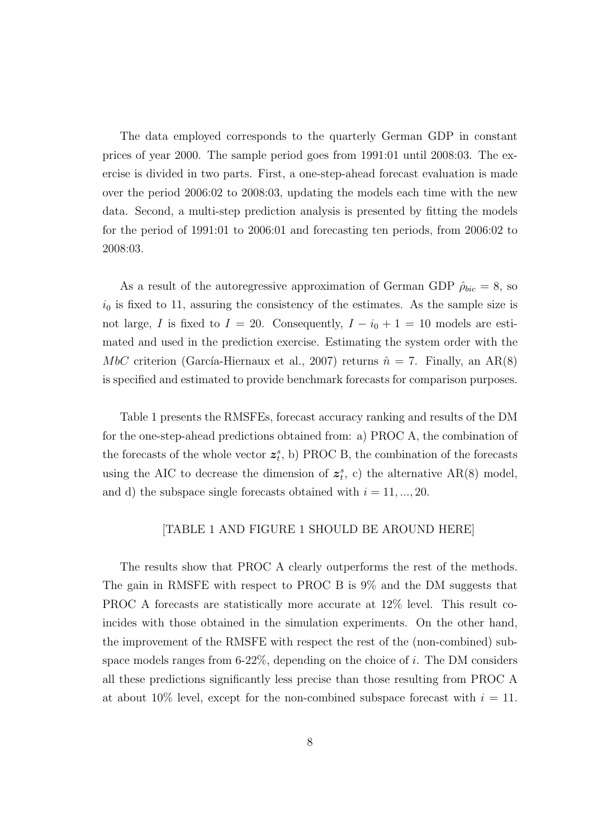The data employed corresponds to the quarterly German GDP in constant prices of year 2000. The sample period goes from 1991:01 until 2008:03. The exercise is divided in two parts. First, a one-step-ahead forecast evaluation is made over the period 2006:02 to 2008:03, updating the models each time with the new data. Second, a multi-step prediction analysis is presented by fitting the models for the period of 1991:01 to 2006:01 and forecasting ten periods, from 2006:02 to 2008:03.

As a result of the autoregressive approximation of German GDP  $\rho_{bic} = 8$ , so  $i_0$  is fixed to 11, assuring the consistency of the estimates. As the sample size is not large, I is fixed to  $I = 20$ . Consequently,  $I - i_0 + 1 = 10$  models are estimated and used in the prediction exercise. Estimating the system order with the MbC criterion (García-Hiernaux et al., 2007) returns  $\hat{n} = 7$ . Finally, an AR(8) is specified and estimated to provide benchmark forecasts for comparison purposes.

Table 1 presents the RMSFEs, forecast accuracy ranking and results of the DM for the one-step-ahead predictions obtained from: a) PROC A, the combination of the forecasts of the whole vector  $z_t^s$ , b) PROC B, the combination of the forecasts using the AIC to decrease the dimension of  $z_t^s$ , c) the alternative AR(8) model, and d) the subspace single forecasts obtained with  $i = 11, ..., 20$ .

#### [TABLE 1 AND FIGURE 1 SHOULD BE AROUND HERE]

The results show that PROC A clearly outperforms the rest of the methods. The gain in RMSFE with respect to PROC B is 9% and the DM suggests that PROC A forecasts are statistically more accurate at 12% level. This result coincides with those obtained in the simulation experiments. On the other hand, the improvement of the RMSFE with respect the rest of the (non-combined) subspace models ranges from  $6-22\%$ , depending on the choice of i. The DM considers all these predictions significantly less precise than those resulting from PROC A at about 10% level, except for the non-combined subspace forecast with  $i = 11$ .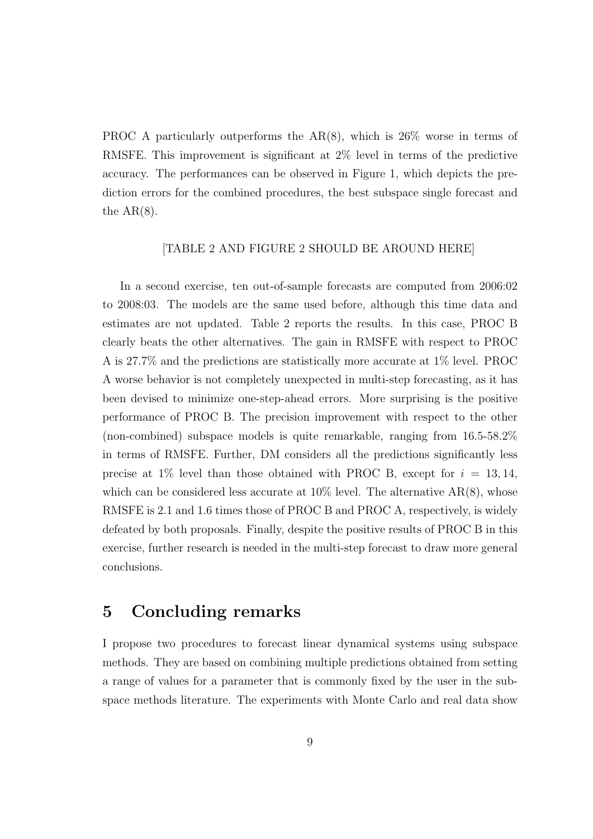PROC A particularly outperforms the AR(8), which is 26% worse in terms of RMSFE. This improvement is significant at 2% level in terms of the predictive accuracy. The performances can be observed in Figure 1, which depicts the prediction errors for the combined procedures, the best subspace single forecast and the  $AR(8)$ .

#### [TABLE 2 AND FIGURE 2 SHOULD BE AROUND HERE]

In a second exercise, ten out-of-sample forecasts are computed from 2006:02 to 2008:03. The models are the same used before, although this time data and estimates are not updated. Table 2 reports the results. In this case, PROC B clearly beats the other alternatives. The gain in RMSFE with respect to PROC A is 27.7% and the predictions are statistically more accurate at 1% level. PROC A worse behavior is not completely unexpected in multi-step forecasting, as it has been devised to minimize one-step-ahead errors. More surprising is the positive performance of PROC B. The precision improvement with respect to the other (non-combined) subspace models is quite remarkable, ranging from 16.5-58.2% in terms of RMSFE. Further, DM considers all the predictions significantly less precise at 1% level than those obtained with PROC B, except for  $i = 13, 14$ , which can be considered less accurate at  $10\%$  level. The alternative  $AR(8)$ , whose RMSFE is 2.1 and 1.6 times those of PROC B and PROC A, respectively, is widely defeated by both proposals. Finally, despite the positive results of PROC B in this exercise, further research is needed in the multi-step forecast to draw more general conclusions.

### 5 Concluding remarks

I propose two procedures to forecast linear dynamical systems using subspace methods. They are based on combining multiple predictions obtained from setting a range of values for a parameter that is commonly fixed by the user in the subspace methods literature. The experiments with Monte Carlo and real data show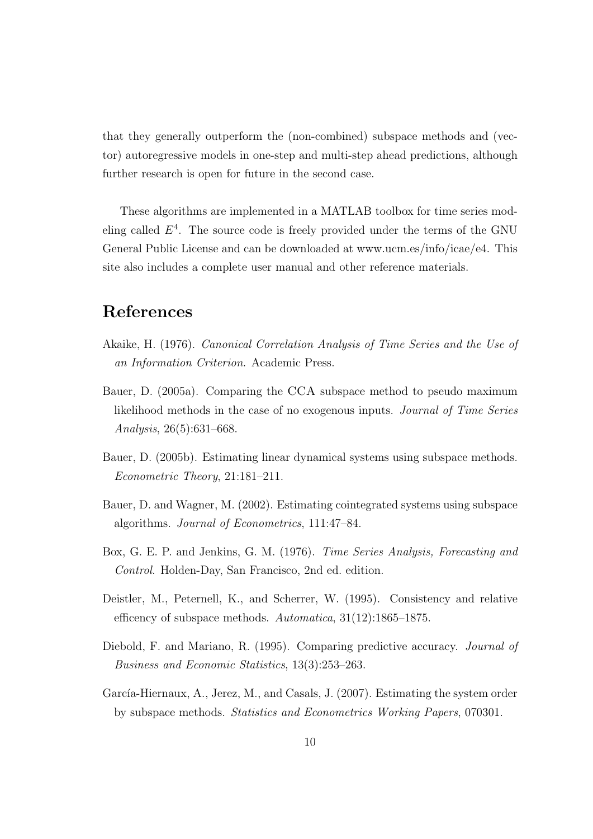that they generally outperform the (non-combined) subspace methods and (vector) autoregressive models in one-step and multi-step ahead predictions, although further research is open for future in the second case.

These algorithms are implemented in a MATLAB toolbox for time series modeling called  $E<sup>4</sup>$ . The source code is freely provided under the terms of the GNU General Public License and can be downloaded at www.ucm.es/info/icae/e4. This site also includes a complete user manual and other reference materials.

### References

- Akaike, H. (1976). Canonical Correlation Analysis of Time Series and the Use of an Information Criterion. Academic Press.
- Bauer, D. (2005a). Comparing the CCA subspace method to pseudo maximum likelihood methods in the case of no exogenous inputs. Journal of Time Series Analysis, 26(5):631–668.
- Bauer, D. (2005b). Estimating linear dynamical systems using subspace methods. Econometric Theory, 21:181–211.
- Bauer, D. and Wagner, M. (2002). Estimating cointegrated systems using subspace algorithms. Journal of Econometrics, 111:47–84.
- Box, G. E. P. and Jenkins, G. M. (1976). Time Series Analysis, Forecasting and Control. Holden-Day, San Francisco, 2nd ed. edition.
- Deistler, M., Peternell, K., and Scherrer, W. (1995). Consistency and relative efficency of subspace methods. Automatica, 31(12):1865–1875.
- Diebold, F. and Mariano, R. (1995). Comparing predictive accuracy. *Journal of* Business and Economic Statistics, 13(3):253–263.
- García-Hiernaux, A., Jerez, M., and Casals, J. (2007). Estimating the system order by subspace methods. Statistics and Econometrics Working Papers, 070301.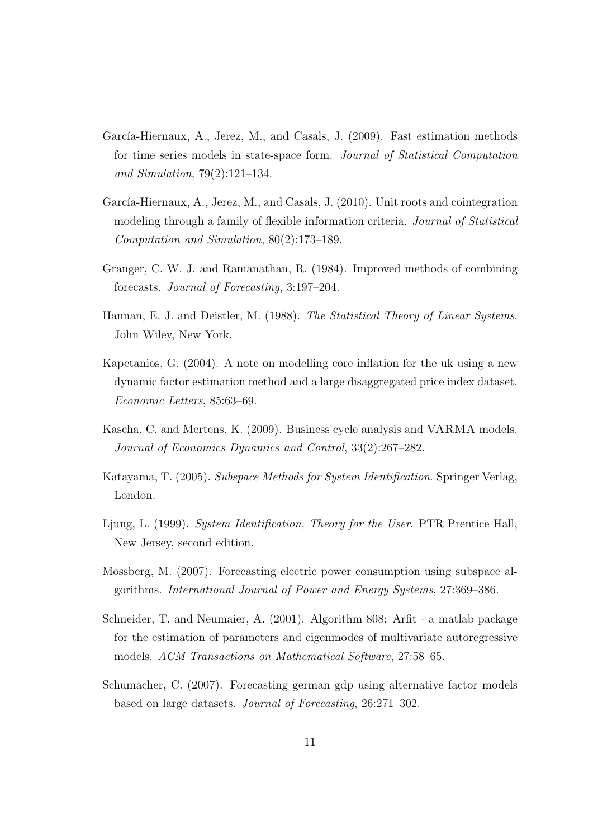- García-Hiernaux, A., Jerez, M., and Casals, J. (2009). Fast estimation methods for time series models in state-space form. Journal of Statistical Computation and Simulation, 79(2):121–134.
- García-Hiernaux, A., Jerez, M., and Casals, J. (2010). Unit roots and cointegration modeling through a family of flexible information criteria. *Journal of Statistical* Computation and Simulation, 80(2):173–189.
- Granger, C. W. J. and Ramanathan, R. (1984). Improved methods of combining forecasts. Journal of Forecasting, 3:197–204.
- Hannan, E. J. and Deistler, M. (1988). The Statistical Theory of Linear Systems. John Wiley, New York.
- Kapetanios, G. (2004). A note on modelling core inflation for the uk using a new dynamic factor estimation method and a large disaggregated price index dataset. Economic Letters, 85:63–69.
- Kascha, C. and Mertens, K. (2009). Business cycle analysis and VARMA models. Journal of Economics Dynamics and Control, 33(2):267–282.
- Katayama, T. (2005). Subspace Methods for System Identification. Springer Verlag, London.
- Ljung, L. (1999). System Identification, Theory for the User. PTR Prentice Hall, New Jersey, second edition.
- Mossberg, M. (2007). Forecasting electric power consumption using subspace algorithms. International Journal of Power and Energy Systems, 27:369–386.
- Schneider, T. and Neumaier, A. (2001). Algorithm 808: Arfit a matlab package for the estimation of parameters and eigenmodes of multivariate autoregressive models. ACM Transactions on Mathematical Software, 27:58–65.
- Schumacher, C. (2007). Forecasting german gdp using alternative factor models based on large datasets. Journal of Forecasting, 26:271–302.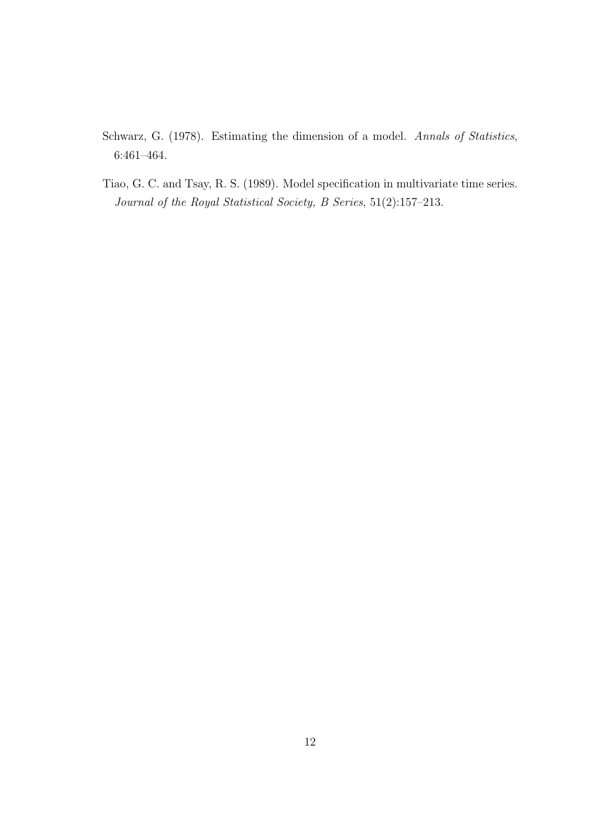- Schwarz, G. (1978). Estimating the dimension of a model. Annals of Statistics, 6:461–464.
- Tiao, G. C. and Tsay, R. S. (1989). Model specification in multivariate time series. Journal of the Royal Statistical Society, B Series, 51(2):157–213.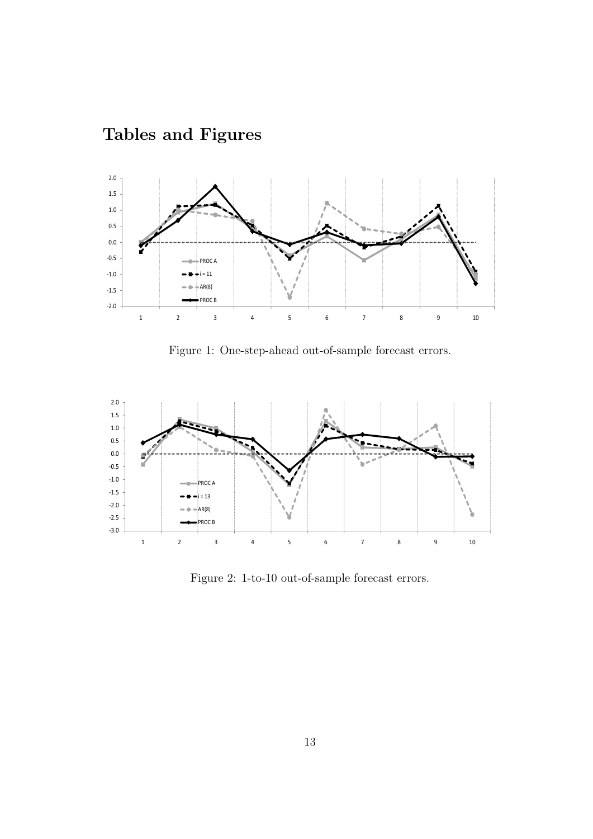

## Tables and Figures

Figure 1: One-step-ahead out-of-sample forecast errors.



Figure 2: 1-to-10 out-of-sample forecast errors.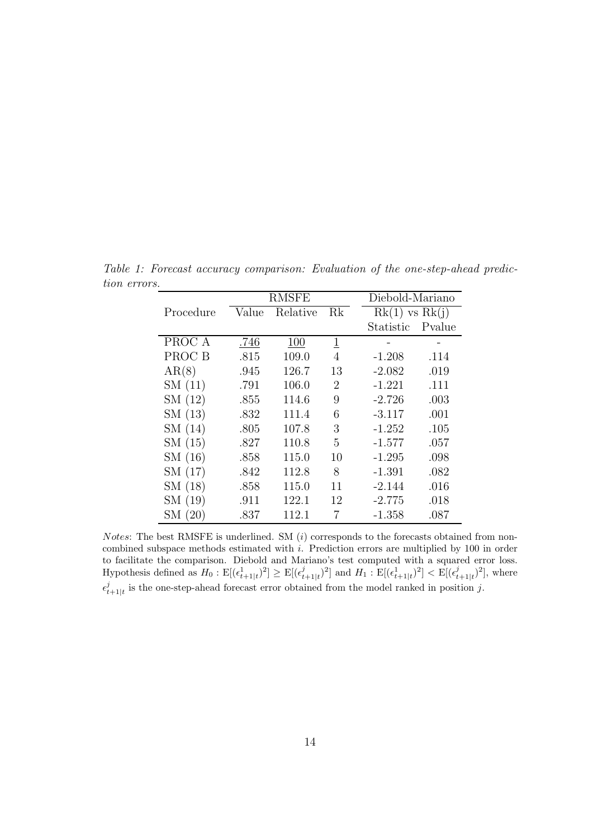|           | RMSFE |          |                | Diebold-Mariano     |  |
|-----------|-------|----------|----------------|---------------------|--|
| Procedure | Value | Relative | Rk             | $Rk(1)$ vs $Rk(j)$  |  |
|           |       |          |                | Pvalue<br>Statistic |  |
| PROC A    | .746  | 100      | $\overline{1}$ |                     |  |
| PROC B    | .815  | 109.0    | 4              | $-1.208$<br>.114    |  |
| AR(8)     | .945  | 126.7    | 13             | $-2.082$<br>.019    |  |
| SM(11)    | .791  | 106.0    | 2              | $-1.221$<br>.111    |  |
| SM(12)    | .855  | 114.6    | 9              | $-2.726$<br>.003    |  |
| SM(13)    | .832  | 111.4    | 6              | .001<br>$-3.117$    |  |
| SM(14)    | .805  | 107.8    | 3              | $-1.252$<br>.105    |  |
| SM(15)    | .827  | 110.8    | 5              | $-1.577$<br>.057    |  |
| SM(16)    | .858  | 115.0    | 10             | $-1.295$<br>.098    |  |
| SM(17)    | .842  | 112.8    | 8              | $-1.391$<br>.082    |  |
| SM(18)    | .858  | 115.0    | 11             | $-2.144$<br>.016    |  |
| SM (19)   | .911  | 122.1    | 12             | $-2.775$<br>.018    |  |
| SM (20)   | .837  | 112.1    | 7              | .087<br>$-1.358$    |  |

Table 1: Forecast accuracy comparison: Evaluation of the one-step-ahead prediction errors.

*Notes*: The best RMSFE is underlined. SM  $(i)$  corresponds to the forecasts obtained from noncombined subspace methods estimated with i. Prediction errors are multiplied by 100 in order to facilitate the comparison. Diebold and Mariano's test computed with a squared error loss. Hypothesis defined as  $H_0: \mathbb{E}[(\epsilon_{t+1|t}^1)^2] \geq \mathbb{E}[(\epsilon_t^j)$  $(\epsilon_{t+1|t}^j)^2$  and  $H_1 : \mathbb{E}[(\epsilon_{t+1|t}^1)^2] < \mathbb{E}[(\epsilon_t^j)$  $_{t+1|t}^{j})^{2}],$  where  $\epsilon_t^j$  $_{t+1|t}^{j}$  is the one-step-ahead forecast error obtained from the model ranked in position j.